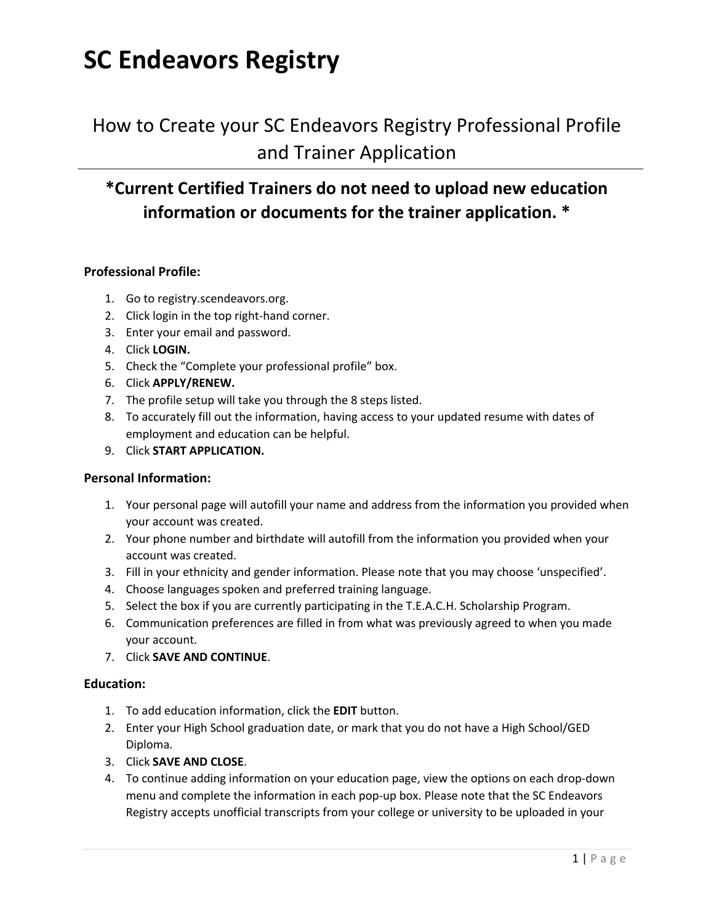### **SC Endeavors Registry**

### How to Create your SC Endeavors Registry Professional Profile and Trainer Application

### **\*Current Certified Trainers do not need to upload new education information or documents for the trainer application. \***

#### **Professional Profile:**

- 1. Go to registry.scendeavors.org.
- 2. Click login in the top right-hand corner.
- 3. Enter your email and password.
- 4. Click **LOGIN.**
- 5. Check the "Complete your professional profile" box.
- 6. Click **APPLY/RENEW.**
- 7. The profile setup will take you through the 8 steps listed.
- 8. To accurately fill out the information, having access to your updated resume with dates of employment and education can be helpful.
- 9. Click **START APPLICATION.**

#### **Personal Information:**

- 1. Your personal page will autofill your name and address from the information you provided when your account was created.
- 2. Your phone number and birthdate will autofill from the information you provided when your account was created.
- 3. Fill in your ethnicity and gender information. Please note that you may choose 'unspecified'.
- 4. Choose languages spoken and preferred training language.
- 5. Select the box if you are currently participating in the T.E.A.C.H. Scholarship Program.
- 6. Communication preferences are filled in from what was previously agreed to when you made your account.
- 7. Click **SAVE AND CONTINUE**.

#### **Education:**

- 1. To add education information, click the **EDIT** button.
- 2. Enter your High School graduation date, or mark that you do not have a High School/GED Diploma.
- 3. Click **SAVE AND CLOSE**.
- 4. To continue adding information on your education page, view the options on each drop-down menu and complete the information in each pop-up box. Please note that the SC Endeavors Registry accepts unofficial transcripts from your college or university to be uploaded in your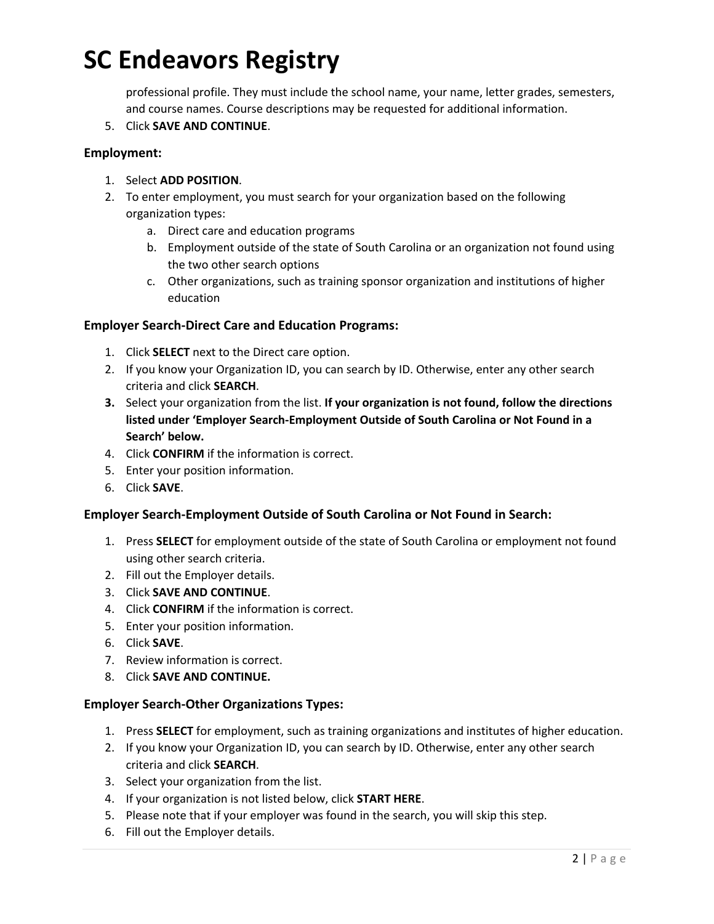# **SC Endeavors Registry**

professional profile. They must include the school name, your name, letter grades, semesters, and course names. Course descriptions may be requested for additional information.

5. Click **SAVE AND CONTINUE**.

#### **Employment:**

- 1. Select **ADD POSITION**.
- 2. To enter employment, you must search for your organization based on the following organization types:
	- a. Direct care and education programs
	- b. Employment outside of the state of South Carolina or an organization not found using the two other search options
	- c. Other organizations, such as training sponsor organization and institutions of higher education

#### **Employer Search-Direct Care and Education Programs:**

- 1. Click **SELECT** next to the Direct care option.
- 2. If you know your Organization ID, you can search by ID. Otherwise, enter any other search criteria and click **SEARCH**.
- **3.** Select your organization from the list. **If your organization is not found, follow the directions listed under 'Employer Search-Employment Outside of South Carolina or Not Found in a Search' below.**
- 4. Click **CONFIRM** if the information is correct.
- 5. Enter your position information.
- 6. Click **SAVE**.

#### **Employer Search-Employment Outside of South Carolina or Not Found in Search:**

- 1. Press **SELECT** for employment outside of the state of South Carolina or employment not found using other search criteria.
- 2. Fill out the Employer details.
- 3. Click **SAVE AND CONTINUE**.
- 4. Click **CONFIRM** if the information is correct.
- 5. Enter your position information.
- 6. Click **SAVE**.
- 7. Review information is correct.
- 8. Click **SAVE AND CONTINUE.**

#### **Employer Search-Other Organizations Types:**

- 1. Press **SELECT** for employment, such as training organizations and institutes of higher education.
- 2. If you know your Organization ID, you can search by ID. Otherwise, enter any other search criteria and click **SEARCH**.
- 3. Select your organization from the list.
- 4. If your organization is not listed below, click **START HERE**.
- 5. Please note that if your employer was found in the search, you will skip this step.
- 6. Fill out the Employer details.